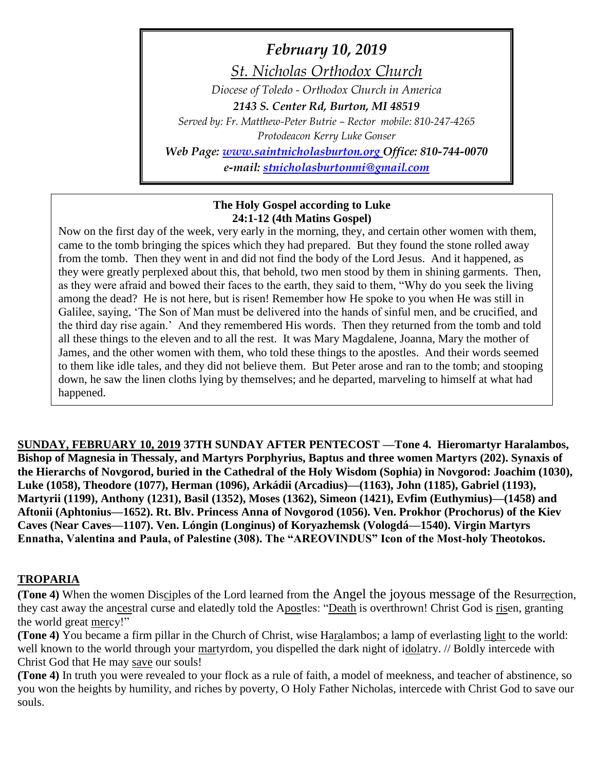# *February 10, 2019*

*St. Nicholas Orthodox Church*

*Diocese of Toledo - Orthodox Church in America 2143 S. Center Rd, Burton, MI 48519*

*Served by: Fr. Matthew-Peter Butrie – Rector mobile: 810-247-4265*

*Protodeacon Kerry Luke Gonser*

*Web Page: [www.saintnicholasburton.org](http://www.saintnicholasburton.org/) Office: 810-744-0070 e-mail: [stnicholasburtonmi@gmail.com](mailto:stnicholasburtonmi@gmail.com)*

### **The Holy Gospel according to Luke 24:1-12 (4th Matins Gospel)**

Now on the first day of the week, very early in the morning, they, and certain other women with them, came to the tomb bringing the spices which they had prepared. But they found the stone rolled away from the tomb. Then they went in and did not find the body of the Lord Jesus. And it happened, as they were greatly perplexed about this, that behold, two men stood by them in shining garments. Then, as they were afraid and bowed their faces to the earth, they said to them, "Why do you seek the living among the dead? He is not here, but is risen! Remember how He spoke to you when He was still in Galilee, saying, 'The Son of Man must be delivered into the hands of sinful men, and be crucified, and the third day rise again.' And they remembered His words. Then they returned from the tomb and told all these things to the eleven and to all the rest. It was Mary Magdalene, Joanna, Mary the mother of James, and the other women with them, who told these things to the apostles. And their words seemed to them like idle tales, and they did not believe them. But Peter arose and ran to the tomb; and stooping down, he saw the linen cloths lying by themselves; and he departed, marveling to himself at what had happened.

**SUNDAY, FEBRUARY 10, 2019 37TH SUNDAY AFTER PENTECOST —Tone 4. Hieromartyr Haralambos, Bishop of Magnesia in Thessaly, and Martyrs Porphyrius, Baptus and three women Martyrs (202). Synaxis of the Hierarchs of Novgorod, buried in the Cathedral of the Holy Wisdom (Sophia) in Novgorod: Joachim (1030), Luke (1058), Theodore (1077), Herman (1096), Arkádii (Arcadius)—(1163), John (1185), Gabriel (1193), Martyrii (1199), Anthony (1231), Basil (1352), Moses (1362), Simeon (1421), Evfim (Euthymius)—(1458) and Aftonii (Aphtonius—1652). Rt. Blv. Princess Anna of Novgorod (1056). Ven. Prokhor (Prochorus) of the Kiev Caves (Near Caves—1107). Ven. Lóngin (Longinus) of Koryazhemsk (Vologdá—1540). Virgin Martyrs Ennatha, Valentina and Paula, of Palestine (308). The "AREOVINDUS" Icon of the Most-holy Theotokos.**

# **TROPARIA**

**(Tone 4)** When the women Disciples of the Lord learned from the Angel the joyous message of the Resurrection, they cast away the ancestral curse and elatedly told the Apostles: "Death is overthrown! Christ God is risen, granting the world great mercy!"

**(Tone 4)** You became a firm pillar in the Church of Christ, wise Haralambos; a lamp of everlasting light to the world: well known to the world through your martyrdom, you dispelled the dark night of idolatry. // Boldly intercede with Christ God that He may save our souls!

**(Tone 4)** In truth you were revealed to your flock as a rule of faith, a model of meekness, and teacher of abstinence, so you won the heights by humility, and riches by poverty, O Holy Father Nicholas, intercede with Christ God to save our souls.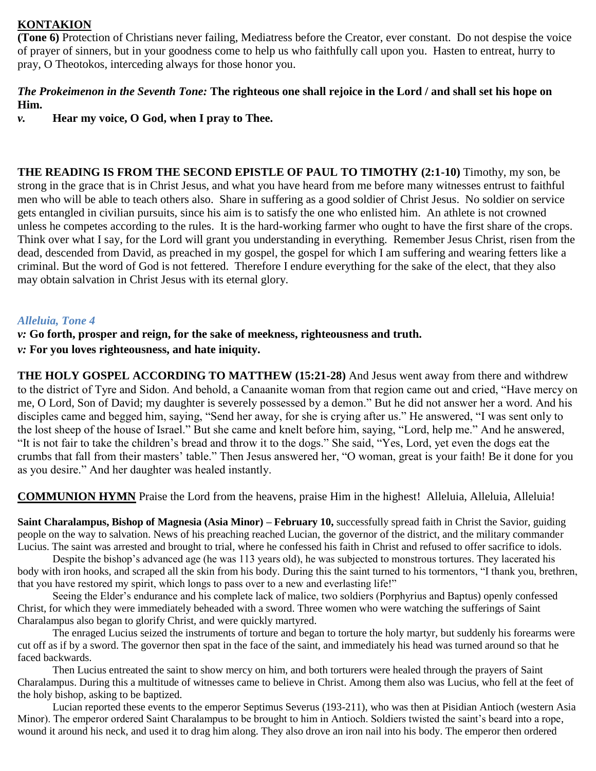## **KONTAKION**

**(Tone 6)** Protection of Christians never failing, Mediatress before the Creator, ever constant. Do not despise the voice of prayer of sinners, but in your goodness come to help us who faithfully call upon you. Hasten to entreat, hurry to pray, O Theotokos, interceding always for those honor you.

### *The Prokeimenon in the Seventh Tone:* **The righteous one shall rejoice in the Lord / and shall set his hope on Him.**

*v.* **Hear my voice, O God, when I pray to Thee.**

**THE READING IS FROM THE SECOND EPISTLE OF PAUL TO TIMOTHY (2:1-10)** Timothy, my son, be strong in the grace that is in Christ Jesus, and what you have heard from me before many witnesses entrust to faithful men who will be able to teach others also. Share in suffering as a good soldier of Christ Jesus. No soldier on service gets entangled in civilian pursuits, since his aim is to satisfy the one who enlisted him. An athlete is not crowned unless he competes according to the rules. It is the hard-working farmer who ought to have the first share of the crops. Think over what I say, for the Lord will grant you understanding in everything. Remember Jesus Christ, risen from the dead, descended from David, as preached in my gospel, the gospel for which I am suffering and wearing fetters like a criminal. But the word of God is not fettered. Therefore I endure everything for the sake of the elect, that they also may obtain salvation in Christ Jesus with its eternal glory.

## *Alleluia, Tone 4*

*v:* **Go forth, prosper and reign, for the sake of meekness, righteousness and truth.** *v:* **For you loves righteousness, and hate iniquity.**

**THE HOLY GOSPEL ACCORDING TO MATTHEW (15:21-28)** And Jesus went away from there and withdrew to the district of Tyre and Sidon. And behold, a Canaanite woman from that region came out and cried, "Have mercy on me, O Lord, Son of David; my daughter is severely possessed by a demon." But he did not answer her a word. And his disciples came and begged him, saying, "Send her away, for she is crying after us." He answered, "I was sent only to the lost sheep of the house of Israel." But she came and knelt before him, saying, "Lord, help me." And he answered, "It is not fair to take the children's bread and throw it to the dogs." She said, "Yes, Lord, yet even the dogs eat the crumbs that fall from their masters' table." Then Jesus answered her, "O woman, great is your faith! Be it done for you as you desire." And her daughter was healed instantly.

**COMMUNION HYMN** Praise the Lord from the heavens, praise Him in the highest! Alleluia, Alleluia, Alleluia!

**Saint Charalampus, Bishop of Magnesia (Asia Minor) – February 10,** successfully spread faith in Christ the Savior, guiding people on the way to salvation. News of his preaching reached Lucian, the governor of the district, and the military commander Lucius. The saint was arrested and brought to trial, where he confessed his faith in Christ and refused to offer sacrifice to idols.

Despite the bishop's advanced age (he was 113 years old), he was subjected to monstrous tortures. They lacerated his body with iron hooks, and scraped all the skin from his body. During this the saint turned to his tormentors, "I thank you, brethren, that you have restored my spirit, which longs to pass over to a new and everlasting life!"

Seeing the Elder's endurance and his complete lack of malice, two soldiers (Porphyrius and Baptus) openly confessed Christ, for which they were immediately beheaded with a sword. Three women who were watching the sufferings of Saint Charalampus also began to glorify Christ, and were quickly martyred.

The enraged Lucius seized the instruments of torture and began to torture the holy martyr, but suddenly his forearms were cut off as if by a sword. The governor then spat in the face of the saint, and immediately his head was turned around so that he faced backwards.

Then Lucius entreated the saint to show mercy on him, and both torturers were healed through the prayers of Saint Charalampus. During this a multitude of witnesses came to believe in Christ. Among them also was Lucius, who fell at the feet of the holy bishop, asking to be baptized.

Lucian reported these events to the emperor Septimus Severus (193-211), who was then at Pisidian Antioch (western Asia Minor). The emperor ordered Saint Charalampus to be brought to him in Antioch. Soldiers twisted the saint's beard into a rope, wound it around his neck, and used it to drag him along. They also drove an iron nail into his body. The emperor then ordered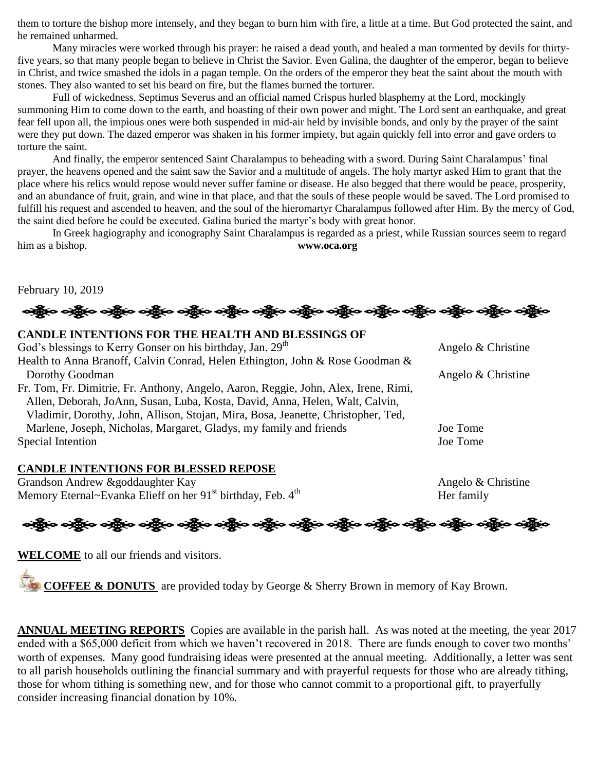them to torture the bishop more intensely, and they began to burn him with fire, a little at a time. But God protected the saint, and he remained unharmed.

Many miracles were worked through his prayer: he raised a dead youth, and healed a man tormented by devils for thirtyfive years, so that many people began to believe in Christ the Savior. Even Galina, the daughter of the emperor, began to believe in Christ, and twice smashed the idols in a pagan temple. On the orders of the emperor they beat the saint about the mouth with stones. They also wanted to set his beard on fire, but the flames burned the torturer.

Full of wickedness, Septimus Severus and an official named Crispus hurled blasphemy at the Lord, mockingly summoning Him to come down to the earth, and boasting of their own power and might. The Lord sent an earthquake, and great fear fell upon all, the impious ones were both suspended in mid-air held by invisible bonds, and only by the prayer of the saint were they put down. The dazed emperor was shaken in his former impiety, but again quickly fell into error and gave orders to torture the saint.

And finally, the emperor sentenced Saint Charalampus to beheading with a sword. During Saint Charalampus' final prayer, the heavens opened and the saint saw the Savior and a multitude of angels. The holy martyr asked Him to grant that the place where his relics would repose would never suffer famine or disease. He also begged that there would be peace, prosperity, and an abundance of fruit, grain, and wine in that place, and that the souls of these people would be saved. The Lord promised to fulfill his request and ascended to heaven, and the soul of the hieromartyr Charalampus followed after Him. By the mercy of God, the saint died before he could be executed. Galina buried the martyr's body with great honor.

In Greek hagiography and iconography Saint Charalampus is regarded as a priest, while Russian sources seem to regard him as a bishop. **www.oca.org**

February 10, 2019

## **CANDLE INTENTIONS FOR THE HEALTH AND BLESSINGS OF**

God's blessings to Kerry Gonser on his birthday, Jan.  $29<sup>th</sup>$  Angelo & Christine Health to Anna Branoff, Calvin Conrad, Helen Ethington, John & Rose Goodman & Dorothy Goodman Angelo & Christine Fr. Tom, Fr. Dimitrie, Fr. Anthony, Angelo, Aaron, Reggie, John, Alex, Irene, Rimi, Allen, Deborah, JoAnn, Susan, Luba, Kosta, David, Anna, Helen, Walt, Calvin, Vladimir, Dorothy, John, Allison, Stojan, Mira, Bosa, Jeanette, Christopher, Ted, Marlene, Joseph, Nicholas, Margaret, Gladys, my family and friends Joe Tome Special Intention Joe Tome

#### **CANDLE INTENTIONS FOR BLESSED REPOSE**

Grandson Andrew &goddaughter Kay Angelo & Christine Memory Eternal~Evanka Elieff on her  $91<sup>st</sup>$  birthday, Feb.  $4<sup>th</sup>$  Her family

# ခရွို့က ခရွိက သန္တို့က ခရွိက သန္တို့က ခရွိက ခရွိက ခရွိက ခရွိက သန္တို့က သန္တို့က ခရွိက ခရွိက ခရွိက

**WELCOME** to all our friends and visitors.

**COFFEE & DONUTS** are provided today by George & Sherry Brown in memory of Kay Brown.

**ANNUAL MEETING REPORTS** Copies are available in the parish hall. As was noted at the meeting, the year 2017 ended with a \$65,000 deficit from which we haven't recovered in 2018. There are funds enough to cover two months' worth of expenses. Many good fundraising ideas were presented at the annual meeting. Additionally, a letter was sent to all parish households outlining the financial summary and with prayerful requests for those who are already tithing, those for whom tithing is something new, and for those who cannot commit to a proportional gift, to prayerfully consider increasing financial donation by 10%.